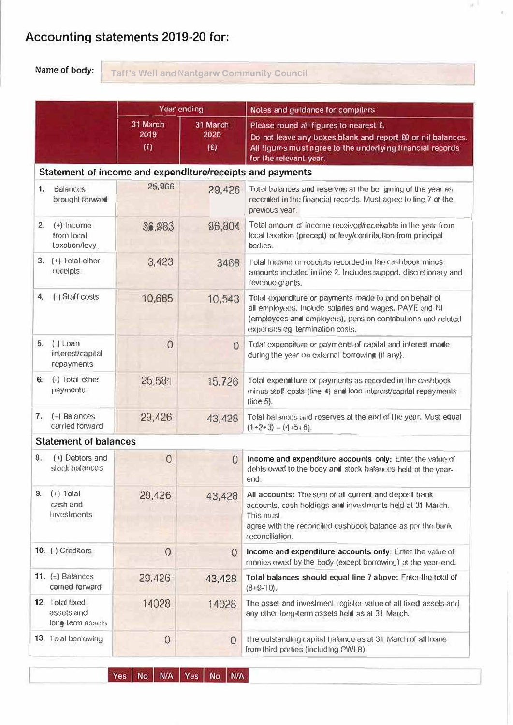# Accounting statements 2019-20 for:

Name of body:

Taff's Well and Nantgarw Community Council

a.k.

 $\hat{\theta}_i$ 

|    |                                                           | Year ending                                      |                         | Notes and guidance for compilers                                                                                                                                                                                    |  |  |  |  |
|----|-----------------------------------------------------------|--------------------------------------------------|-------------------------|---------------------------------------------------------------------------------------------------------------------------------------------------------------------------------------------------------------------|--|--|--|--|
|    |                                                           | 31 March<br>2019<br>$\langle \mathbf{E} \rangle$ | 31 March<br>2020<br>(E) | Please round all figures to nearest £.<br>Do not leave any boxes blank and report £0 or nil balances.<br>All figures must agree to the underlying financial records<br>for the relevant year.                       |  |  |  |  |
|    | Statement of income and expenditure/receipts and payments |                                                  |                         |                                                                                                                                                                                                                     |  |  |  |  |
| 1. | Balances<br>brought forward                               | 25,966                                           | 29,426                  | Total balances and reserves at the boll gining of the year as:<br>recorded in the financial records. Must agree to line 7 of the<br>previous year.                                                                  |  |  |  |  |
| 2. | $(+)$ Income<br>from local<br>taxation/levy               | 36.283                                           | 36,804                  | Total amount of income received/receivable in the year from<br>local taxation (precept) or levy/contribution from principal<br>bodies.                                                                              |  |  |  |  |
|    | 3. $(+)$ i ctal other<br>receipts                         | 3,423                                            | 3468                    | Total Income or receipts recorded in the cashbook minus.<br>amounts included in line 2. Includes support, discretionary and<br>revenue grants.                                                                      |  |  |  |  |
| 4. | (-) Staff costs                                           | 10,665                                           | 10.543                  | Total expenditure or payments made to and on behalf of<br>all employees. Include salaries and wages. PAYE and NI<br>(employees and employers), pension contributions and related<br>expenses eg. termination costs. |  |  |  |  |
| 5. | $(-)$ Loan<br>interest/capital<br>repayments              | $\overline{0}$                                   | $\Omega$                | Total expenditure or payments of capital and interest made<br>during the year on external borrowing (if any).                                                                                                       |  |  |  |  |
| 6. | $(-)$ Total other<br>payments.                            | 25,581                                           | 15.726                  | Total expenditure or payments as recorded in the cashbook.<br>minus staff costs (line 4) and loan interest/capital repayments<br>(line 5).                                                                          |  |  |  |  |
| 7. | (-) Balances<br>carried forward                           | 29,426                                           | 43,428                  | Total balances and reserves at the end of the year. Must equal<br>$(1+2+3) - (1+5+6)$                                                                                                                               |  |  |  |  |
|    | <b>Statement of balances</b>                              |                                                  |                         |                                                                                                                                                                                                                     |  |  |  |  |
| 8. | (+) Debtors and<br>slock balances                         | $\overline{0}$                                   | $\overline{0}$          | Income and expenditure accounts only: Enter the value of<br>debts owed to the body and stock balances held at the year-<br>end.                                                                                     |  |  |  |  |
| 9. | $(+)$ Total<br>cash and<br>Investments                    | 29,426                                           | 43,428                  | All accounts: The sum of all current and deposil hank<br>accounts, cash holdings and investments held at 31 March.<br>This must<br>agree with the reconciled cashbook balance as per the bank<br>recorrelliation.   |  |  |  |  |
|    | 10. (-) Creditors                                         | $\Omega$                                         | $\overline{0}$          | Income and expenditure accounts only: Enter the value of<br>monies owed by the body (except borrowing) at the year-end.                                                                                             |  |  |  |  |
|    | 11. $(-)$ Balances<br>carried torward                     | 29,426                                           | 43,428                  | Total balances should equal line 7 above: Enter the total of<br>$(8.9 - 10)$ .                                                                                                                                      |  |  |  |  |
|    | 12. lotal f:xed<br>assets and<br>long-term assets         | 14028                                            | 14028                   | The asset and investment register value of all fixed assels and<br>any other long-term assets held as at 31 March.                                                                                                  |  |  |  |  |
|    | 13. Tolal borrowing                                       | $\theta$                                         | $\Omega$                | The outstanding capital halance as at 31 March of all loans.<br>from third parties (including PWI B).                                                                                                               |  |  |  |  |

Yes | No | N/A | Yes | No | N/A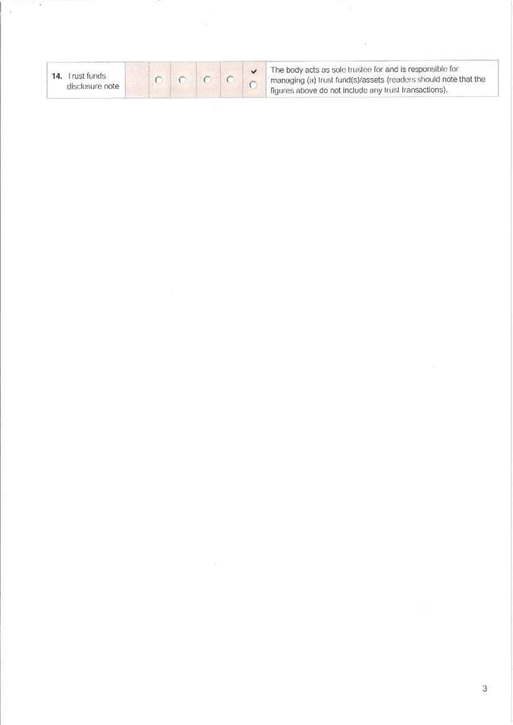| 14. Trust funds<br>disclosure note |  |  |  |  |  |
|------------------------------------|--|--|--|--|--|
|------------------------------------|--|--|--|--|--|

 $\overline{\nu}$ 

ł,

The body acts as sole trustee for and is responsible for<br>managing (a) trust fund(s)/assets (readers should note that the<br>figures above do not include any trust transactions).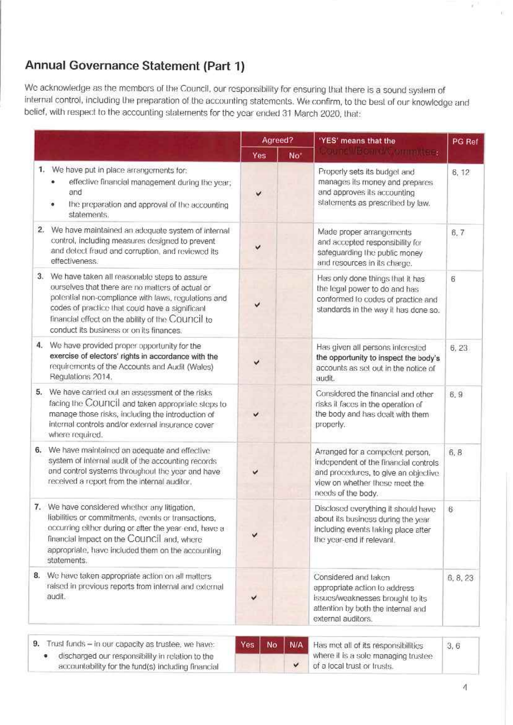# Annual Governance Statement (Part 1)

We acknowledge as the members of the Council, our responsibility for ensuring that there is a sound system of internal control, including the preparation of the accounting statements. We confirm, to the best of our knowledge and belief, with respect to the accounting statements for the year ended 31 March 2020, that:

|    |                                                                                                                                                                                                                                                                                                                | Agreed?    |                 | 'YES' means that the                                                                                                                                                       | PG Ref   |  |
|----|----------------------------------------------------------------------------------------------------------------------------------------------------------------------------------------------------------------------------------------------------------------------------------------------------------------|------------|-----------------|----------------------------------------------------------------------------------------------------------------------------------------------------------------------------|----------|--|
|    |                                                                                                                                                                                                                                                                                                                | <b>Yes</b> | No <sup>*</sup> | zou tell/Bornoktion militees                                                                                                                                               |          |  |
|    | 1. We have put in place arrangements for:<br>effective financial management during the year;<br>۰<br>and<br>the preparation and approval of the accounting<br>$\bullet$<br>statements.                                                                                                                         | v          |                 | Properly sets its budget and<br>manages its money and prepares<br>and approves its accounting<br>statements as prescribed by law.                                          | 6, 12    |  |
|    | 2. We have maintained an adequate system of internal<br>control, including measures designed to prevent<br>and detect fraud and corruption, and reviewed its<br>effectiveness.                                                                                                                                 |            |                 | Made proper arrangements<br>and accepted responsibility for<br>safeguarding the public money<br>and resources in its charge.                                               | 6, 7     |  |
|    | 3. We have taken all reasonable steps to assure<br>ourselves that there are no matters of actual or<br>potential non-compliance with laws, regulations and<br>codes of practice that could have a significant<br>financial effect on the ability of the Council to<br>conduct its business or on its finances. |            |                 | Has only done things that it has<br>the legal power to do and has<br>conformed to codes of practice and<br>standards in the way it has done so.                            | 6        |  |
|    | 4. We have provided proper opportunity for the<br>exercise of electors' rights in accordance with the<br>requirements of the Accounts and Audit (Wales)<br>Regulations 2014.                                                                                                                                   | ✓          |                 | Has given all persons interested<br>the opportunity to inspect the body's<br>accounts as set out in the notice of<br>audit.                                                | 6, 23    |  |
| 5. | We have carried out an assessment of the risks<br>facing the COUNCI and taken appropriate steps to<br>manage those risks, including the introduction of<br>internal controls and/or external insurance cover<br>where required.                                                                                | v          |                 | Considered the financial and other<br>risks it faces in the operation of<br>the body and has dealt with them<br>properly.                                                  | 6,9      |  |
|    | 6. We have maintained an adequate and effective<br>system of internal audit of the accounting records<br>and control systems throughout the year and have<br>received a report from the internal auditor.                                                                                                      |            |                 | Arranged for a competent person,<br>independent of the financial controls.<br>and procedures, to give an objective<br>view on whether these meet the<br>needs of the body. | 6, 8     |  |
|    | 7. We have considered whether any litigation,<br>liabilities or commitments, events or transactions,<br>occurring either during or after the year end, have a<br>financial impact on the COUNCIL and, where<br>appropriate, have included them on the accounting<br>statements.                                |            |                 | Disclosed everything it should have<br>about its business during the year<br>including events taking place after<br>the year-end if relevant.                              | $6-$     |  |
| 8. | We have taken appropriate action on all matters<br>raised in previous reports from internal and external<br>audit.                                                                                                                                                                                             | v          |                 | Considered and taken<br>appropriate action to address<br>issues/weaknesses brought to its<br>attention by both the internal and<br>external auditors.                      | 6, 8, 23 |  |
|    | 9. Trust funds - in our capacity as trustee, we have:<br>discharged our responsibility in relation to the                                                                                                                                                                                                      | Yes<br>No  | N/A             | Has met all of its responsibilities<br>where it is a sole managing trustee.                                                                                                | 3, 6     |  |

discharged our responsibility in relation to the ۰ accountability for the fund(s) including financial

| N/A | Has met all of its responsibl |
|-----|-------------------------------|
|     | where it is a sole managing   |
|     | of a local trust or trusts.   |

Ÿ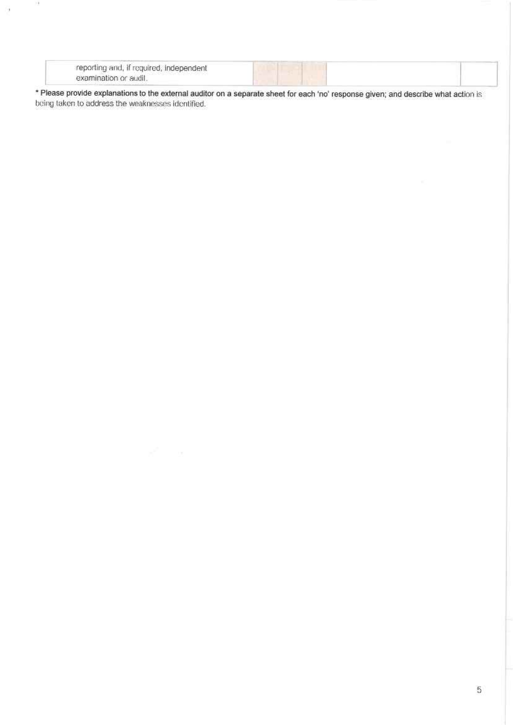| reporting and, if required, independent                      |  |
|--------------------------------------------------------------|--|
| the company's company's programs to<br>examination or audit. |  |

\* Please provide explanations to the external auditor on a separate sheet for each 'no' response given; and describe what action is being taken to address the weaknesses identified.

顶

 $\alpha$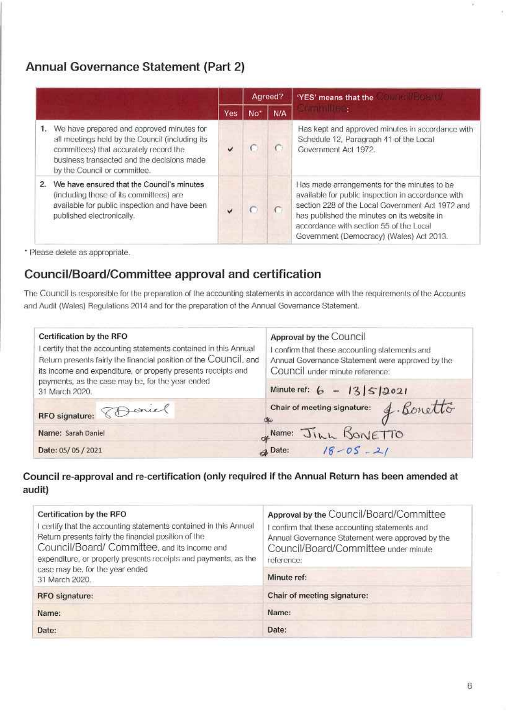## Annual Governance Statement (Part 2)

|    |                                                                                                                                                                                                                         |     | Agreed?         |            | "YES" means that the                                                                                                                                                                                                                                                                        |
|----|-------------------------------------------------------------------------------------------------------------------------------------------------------------------------------------------------------------------------|-----|-----------------|------------|---------------------------------------------------------------------------------------------------------------------------------------------------------------------------------------------------------------------------------------------------------------------------------------------|
|    |                                                                                                                                                                                                                         | Yes | No <sup>'</sup> | <b>N/A</b> | <b>Sollen Andreas</b>                                                                                                                                                                                                                                                                       |
|    | 1. We have prepared and approved minutes for<br>all meetings held by the Council (including its<br>committees) that accurately record the<br>business transacted and the decisions made<br>by the Council or committee. |     |                 |            | Has kept and approved minutes in accordance with<br>Schedule 12, Paragraph 41 of the Local<br>Government Act 1972.                                                                                                                                                                          |
| 2. | We have ensured that the Council's minutes<br>(including those of its committees) are<br>available for public inspection and have been<br>published electronically.                                                     |     |                 |            | Has made arrangements for the minutes to be<br>available for public inspection in accordance with<br>section 228 of the Local Government Act 1972 and<br>has published the minutes on its website in<br>accordance with section 55 of the Local<br>Government (Democracy) (Wales) Act 2013. |

\* Please delete as appropriate.

### Council/Board/Committee approval and certification

The Council is responsible for the preparation of the accounting statements in accordance with the requirements of the Accounts and Audit (Wales) Regulations 2014 and for the preparation of the Annual Governance Statement.

| Certification by the RFO<br>certify that the accounting statements contained in this Annual<br>Return presents fairly the financial position of the COUNCII, and<br>its income and expenditure, or properly presents receipts and | Approval by the Council<br>I confirm that these accounting statements and<br>Annual Governance Statement were approved by the<br>Council under minute reference: |  |  |  |  |
|-----------------------------------------------------------------------------------------------------------------------------------------------------------------------------------------------------------------------------------|------------------------------------------------------------------------------------------------------------------------------------------------------------------|--|--|--|--|
| payments, as the case may be, for the year ended<br>31 March 2020.                                                                                                                                                                | Minute ref: $6 - 13550021$                                                                                                                                       |  |  |  |  |
| RFO signature: 8D ancel                                                                                                                                                                                                           | Chair of meeting signature: 4. Bonetto<br>OG 6                                                                                                                   |  |  |  |  |
| Name: Sarah Daniel                                                                                                                                                                                                                |                                                                                                                                                                  |  |  |  |  |
| Date: 05/05/2021                                                                                                                                                                                                                  | <b>4<sup>Name:</sup></b> Jinn BONETTO                                                                                                                            |  |  |  |  |

### Council re-approval and re-certification (only required if the Annual Return has been amended at audit)

| Certification by the RFO<br>I certify that the accounting statements contained in this Annual<br>Return presents fairly the financial position of the<br>Council/Board/Committee, and its income and<br>expenditure, or properly presents receipts and payments, as the | Approval by the Council/Board/Committee<br>confirm that these accounting statements and<br>Annual Governance Statement were approved by the<br>Council/Board/Committee under minute<br>reference: |  |  |  |
|-------------------------------------------------------------------------------------------------------------------------------------------------------------------------------------------------------------------------------------------------------------------------|---------------------------------------------------------------------------------------------------------------------------------------------------------------------------------------------------|--|--|--|
| case may be, for the year ended<br>31 March 2020.                                                                                                                                                                                                                       | Minute ref:                                                                                                                                                                                       |  |  |  |
| RFO signature:                                                                                                                                                                                                                                                          | Chair of meeting signature:                                                                                                                                                                       |  |  |  |
| Name:                                                                                                                                                                                                                                                                   | Name:                                                                                                                                                                                             |  |  |  |
| Date:                                                                                                                                                                                                                                                                   | Date:                                                                                                                                                                                             |  |  |  |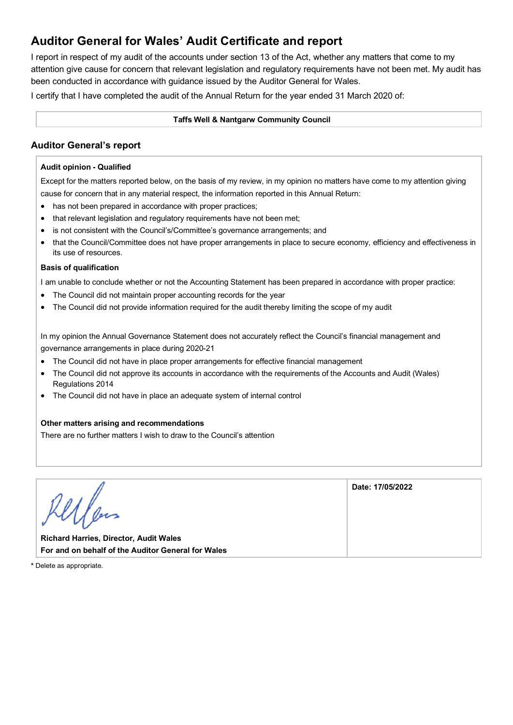### **Auditor General for Wales' Audit Certificate and report**

I report in respect of my audit of the accounts under section 13 of the Act, whether any matters that come to my attention give cause for concern that relevant legislation and regulatory requirements have not been met. My audit has been conducted in accordance with guidance issued by the Auditor General for Wales.

I certify that I have completed the audit of the Annual Return for the year ended 31 March 2020 of:

#### **Taffs Well & Nantgarw Community Council**

### **Auditor General's report**

#### **Audit opinion - Qualified**

Except for the matters reported below, on the basis of my review, in my opinion no matters have come to my attention giving cause for concern that in any material respect, the information reported in this Annual Return:

- has not been prepared in accordance with proper practices;
- that relevant legislation and regulatory requirements have not been met;
- is not consistent with the Council's/Committee's governance arrangements; and
- that the Council/Committee does not have proper arrangements in place to secure economy, efficiency and effectiveness in its use of resources.

#### **Basis of qualification**

I am unable to conclude whether or not the Accounting Statement has been prepared in accordance with proper practice:

- The Council did not maintain proper accounting records for the year
- The Council did not provide information required for the audit thereby limiting the scope of my audit

In my opinion the Annual Governance Statement does not accurately reflect the Council's financial management and governance arrangements in place during 2020-21

- The Council did not have in place proper arrangements for effective financial management
- The Council did not approve its accounts in accordance with the requirements of the Accounts and Audit (Wales) Regulations 2014
- The Council did not have in place an adequate system of internal control

#### **Other matters arising and recommendations**

There are no further matters I wish to draw to the Council's attention

|                                                    | Date: 17/05/2022 |
|----------------------------------------------------|------------------|
|                                                    |                  |
|                                                    |                  |
| <b>Richard Harries, Director, Audit Wales</b>      |                  |
| For and on behalf of the Auditor General for Wales |                  |

**\*** Delete as appropriate.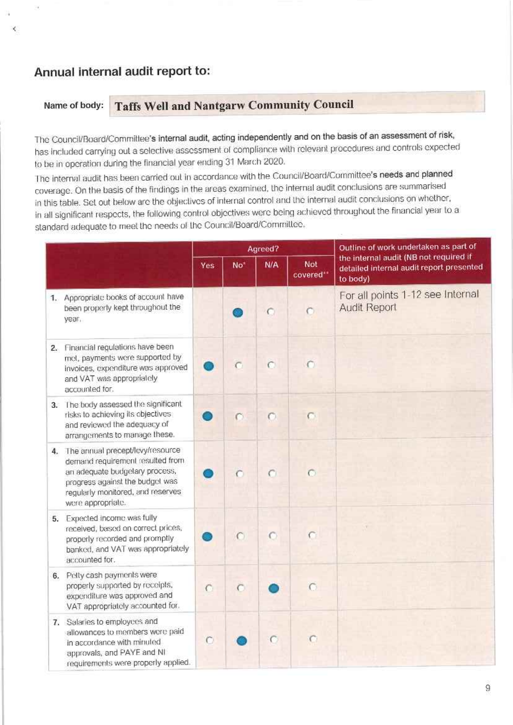### Annual internal audit report to:

X

#### **Taffs Well and Nantgarw Community Council** Name of body:

The Council/Board/Committee's internal audit, acting independently and on the basis of an assessment of risk, has included carrying out a selective assessment of compliance with relevant procedures and controls expected to be in operation during the financial year ending 31 March 2020.

The internal audit has been carried out in accordance with the Council/Board/Committee's needs and planned coverage. On the basis of the findings in the areas examined, the internal audit conclusions are summarised in this table. Set out below are the objectives of internal control and the internal audit conclusions on whether, in all significant respects, the following control objectives were being achieved throughout the financial year to a standard adequate to meet the needs of the Council/Board/Committee.

|    |                                                                                                                                                                                                        |           |           | Agreed?   |                  | Outline of work undertaken as part of                                                          |
|----|--------------------------------------------------------------------------------------------------------------------------------------------------------------------------------------------------------|-----------|-----------|-----------|------------------|------------------------------------------------------------------------------------------------|
|    |                                                                                                                                                                                                        | Yes       | $No+$     | N/A       | Not<br>covered** | the internal audit (NB not required if<br>detailed internal audit report presented<br>to body) |
|    | 1. Appropriate books of account have<br>been properly kept throughout the<br>year.                                                                                                                     |           |           | $\subset$ | $\bigcap$        | For all points 1-12 see Internal<br><b>Audit Report</b>                                        |
|    | 2. Financial regulations have been<br>met, payments were supported by<br>invoices, expenditure was approved<br>and VAT was appropriately<br>accounted for.                                             |           | с         | $\cap$    | $\cap$           |                                                                                                |
|    | 3. The body assessed the significant<br>risks to achieving its objectives.<br>and reviewed the adequacy of<br>arrangements to manage these.                                                            |           | C         | $\circ$   | $\subset$        |                                                                                                |
|    | 4. The annual precept/levy/resource<br>demand requirement resulted from<br>an adequate budgetary process,<br>progress against the budget was<br>regularly monitored, and reserves<br>were appropriate. |           | $\subset$ | $\subset$ | $\circ$          |                                                                                                |
|    | 5. Expected income was fully<br>received, based on correct prices,<br>properly recorded and promptly<br>banked, and VAT was appropriately<br>accounted for.                                            |           | C         | $\subset$ | $\subset$        |                                                                                                |
| 6. | Petty cash payments were<br>properly supported by receipts,<br>expenditure was approved and<br>VAT appropriately accounted for.                                                                        | $\subset$ | $\subset$ |           | $\cap$           |                                                                                                |
|    | 7. Salaries to employees and<br>allowances to members were paid<br>in accordance with minuled<br>approvals, and PAYE and NI<br>requirements were properly applied.                                     | $\subset$ |           | $\subset$ | O                |                                                                                                |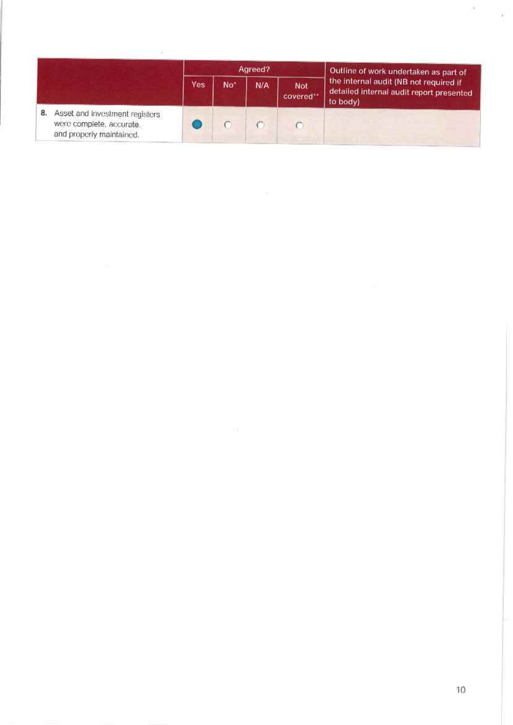|    |                                                                                        |     |                 | Agreed? |                        | Outline of work undertaken as part of                                                          |
|----|----------------------------------------------------------------------------------------|-----|-----------------|---------|------------------------|------------------------------------------------------------------------------------------------|
|    |                                                                                        | Yes | No <sup>*</sup> | N/A     | <b>Not</b><br>covered" | the internal audit (NB not required if<br>detailed internal audit report presented<br>to body) |
| 8. | Asset and investment registers<br>were complete, accurate,<br>and properly maintained. |     |                 |         |                        |                                                                                                |

 $\begin{array}{c} \begin{array}{c} \begin{array}{c} \end{array} \end{array} \end{array}$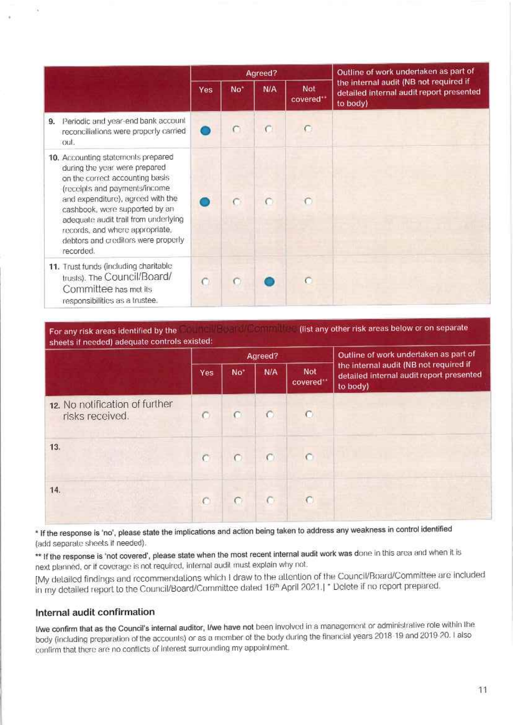|                                                                                                                                                                                                                                                                                                                                               |            |                 | Agreed? |                  | Outline of work undertaken as part of<br>the internal audit (NB not required if<br>detailed internal audit report presented<br>to body) |
|-----------------------------------------------------------------------------------------------------------------------------------------------------------------------------------------------------------------------------------------------------------------------------------------------------------------------------------------------|------------|-----------------|---------|------------------|-----------------------------------------------------------------------------------------------------------------------------------------|
|                                                                                                                                                                                                                                                                                                                                               | <b>Yes</b> | No <sup>*</sup> | N/A     | Not<br>covered** |                                                                                                                                         |
| Periodic and year-end bank account<br>9.<br>reconciliations were properly carried<br>out.                                                                                                                                                                                                                                                     |            | €               | C       | C                |                                                                                                                                         |
| 10. Accounting statements prepared<br>during the year were prepared<br>on the correct accounting basis<br>(receipts and payments/income<br>and expenditure), agreed with the<br>cashbook, were supported by an<br>adequate audit trail from underlying<br>records, and where appropriate,<br>debtors and creditors were properly<br>recorded. |            |                 |         |                  |                                                                                                                                         |
| 11. Trust funds (including charitable<br>trusts). The Council/Board/<br>Committee has met its<br>responsibilities as a trustee.                                                                                                                                                                                                               |            |                 |         | Ö                |                                                                                                                                         |

For any risk areas identified by the **Community of the Community** (list any other risk areas below or on separate sheets if needed) adequate controls existed:

|                                                   | Agreed?        |                 |         |                  | Outline of work undertaken as part of                                                          |  |
|---------------------------------------------------|----------------|-----------------|---------|------------------|------------------------------------------------------------------------------------------------|--|
|                                                   | Yes            | No <sup>+</sup> | N/A     | Not<br>covered** | the internal audit (NB not required if<br>detailed internal audit report presented<br>to body) |  |
| 12. No notification of further<br>risks received. | $\circ$        | $\subset$       | $\odot$ | $\bullet$        |                                                                                                |  |
| 13.                                               | $\overline{C}$ | $\cap$          | $\cap$  | $\cap$           |                                                                                                |  |
| 14.                                               | $\sqrt{ }$     |                 |         |                  |                                                                                                |  |

\* If the response is 'no', please state the implications and action being taken to address any weakness in control identified (add separate sheets if needed).

\*\* If the response is 'not covered', please state when the most recent internal audit work was done in this area and when it is next planned, or if coverage is not required, internal audit must explain why not.

[My detailed findings and recommendations which I draw to the attention of the Council/Board/Committee are included in my detailed report to the Council/Board/Committee dated 16th April 2021.] \* Delete if no report prepared.

### Internal audit confirmation

I/we confirm that as the Council's internal auditor, I/we have not been involved in a management or administrative role within the body (including preparation of the accounts) or as a member of the body during the financial years 2018-19 and 2019-20. I also confirm that there are no conflicts of interest surrounding my appointment.